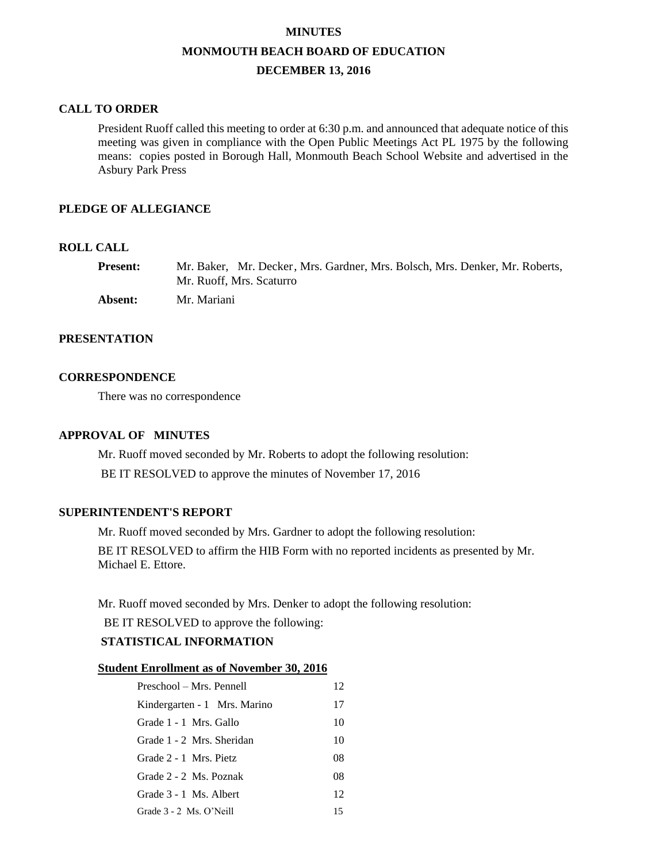#### **MINUTES**

#### **MONMOUTH BEACH BOARD OF EDUCATION**

# **DECEMBER 13, 2016**

### **CALL TO ORDER**

President Ruoff called this meeting to order at 6:30 p.m. and announced that adequate notice of this meeting was given in compliance with the Open Public Meetings Act PL 1975 by the following means: copies posted in Borough Hall, Monmouth Beach School Website and advertised in the Asbury Park Press

## **PLEDGE OF ALLEGIANCE**

## **ROLL CALL**

| <b>Present:</b> | Mr. Baker. Mr. Decker, Mrs. Gardner, Mrs. Bolsch, Mrs. Denker, Mr. Roberts. |
|-----------------|-----------------------------------------------------------------------------|
|                 | Mr. Ruoff, Mrs. Scaturro                                                    |
| Absent:         | Mr. Mariani                                                                 |

## **PRESENTATION**

#### **CORRESPONDENCE**

There was no correspondence

### **APPROVAL OF MINUTES**

Mr. Ruoff moved seconded by Mr. Roberts to adopt the following resolution: BE IT RESOLVED to approve the minutes of November 17, 2016

### **SUPERINTENDENT'S REPORT**

Mr. Ruoff moved seconded by Mrs. Gardner to adopt the following resolution:

BE IT RESOLVED to affirm the HIB Form with no reported incidents as presented by Mr. Michael E. Ettore.

Mr. Ruoff moved seconded by Mrs. Denker to adopt the following resolution:

BE IT RESOLVED to approve the following:

## **STATISTICAL INFORMATION**

### **Student Enrollment as of November 30, 2016**

| Preschool – Mrs. Pennell     | 12 |
|------------------------------|----|
| Kindergarten - 1 Mrs. Marino | 17 |
| Grade 1 - 1 Mrs. Gallo       | 10 |
| Grade 1 - 2 Mrs. Sheridan    | 10 |
| Grade 2 - 1 Mrs. Pietz       | 08 |
| Grade 2 - 2 Ms. Poznak       | 08 |
| Grade 3 - 1 Ms. Albert       | 12 |
| Grade 3 - 2 Ms. O'Neill      | 15 |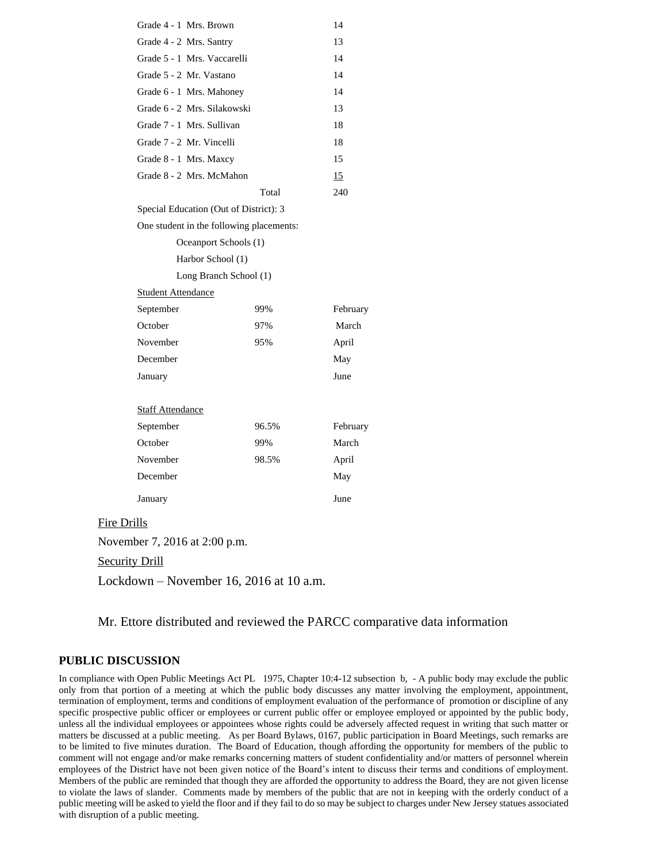|                               | Grade 4 - 1 Mrs. Brown                   |       | 14       |  |  |
|-------------------------------|------------------------------------------|-------|----------|--|--|
|                               | Grade 4 - 2 Mrs. Santry                  |       | 13       |  |  |
|                               | Grade 5 - 1 Mrs. Vaccarelli              |       | 14       |  |  |
|                               | Grade 5 - 2 Mr. Vastano                  |       | 14       |  |  |
|                               | Grade 6 - 1 Mrs. Mahoney                 |       | 14       |  |  |
|                               | Grade 6 - 2 Mrs. Silakowski              |       | 13       |  |  |
|                               | Grade 7 - 1 Mrs. Sullivan                |       | 18       |  |  |
|                               | Grade 7 - 2 Mr. Vincelli                 |       | 18       |  |  |
|                               | Grade 8 - 1 Mrs. Maxcy                   |       | 15       |  |  |
|                               | Grade 8 - 2 Mrs. McMahon                 |       | 15       |  |  |
|                               |                                          | Total | 240      |  |  |
|                               | Special Education (Out of District): 3   |       |          |  |  |
|                               | One student in the following placements: |       |          |  |  |
|                               | Oceanport Schools (1)                    |       |          |  |  |
|                               | Harbor School (1)                        |       |          |  |  |
|                               | Long Branch School (1)                   |       |          |  |  |
|                               | <b>Student Attendance</b>                |       |          |  |  |
|                               | September                                | 99%   | February |  |  |
|                               | October                                  | 97%   | March    |  |  |
|                               | November                                 | 95%   | April    |  |  |
|                               | December                                 |       | May      |  |  |
|                               | January                                  |       | June     |  |  |
| <b>Staff Attendance</b>       |                                          |       |          |  |  |
|                               | September                                | 96.5% | February |  |  |
|                               | October                                  | 99%   | March    |  |  |
|                               | November                                 | 98.5% | April    |  |  |
|                               | December                                 |       | May      |  |  |
|                               | January                                  |       | June     |  |  |
| <b>Fire Drills</b>            |                                          |       |          |  |  |
| November 7, 2016 at 2:00 p.m. |                                          |       |          |  |  |
|                               |                                          |       |          |  |  |

**Security Drill** 

Lockdown – November 16, 2016 at 10 a.m.

Mr. Ettore distributed and reviewed the PARCC comparative data information

### **PUBLIC DISCUSSION**

In compliance with Open Public Meetings Act PL 1975, Chapter 10:4-12 subsection b, - A public body may exclude the public only from that portion of a meeting at which the public body discusses any matter involving the employment, appointment, termination of employment, terms and conditions of employment evaluation of the performance of promotion or discipline of any specific prospective public officer or employees or current public offer or employee employed or appointed by the public body, unless all the individual employees or appointees whose rights could be adversely affected request in writing that such matter or matters be discussed at a public meeting. As per Board Bylaws, 0167, public participation in Board Meetings, such remarks are to be limited to five minutes duration. The Board of Education, though affording the opportunity for members of the public to comment will not engage and/or make remarks concerning matters of student confidentiality and/or matters of personnel wherein employees of the District have not been given notice of the Board's intent to discuss their terms and conditions of employment. Members of the public are reminded that though they are afforded the opportunity to address the Board, they are not given license to violate the laws of slander. Comments made by members of the public that are not in keeping with the orderly conduct of a public meeting will be asked to yield the floor and if they fail to do so may be subject to charges under New Jersey statues associated with disruption of a public meeting.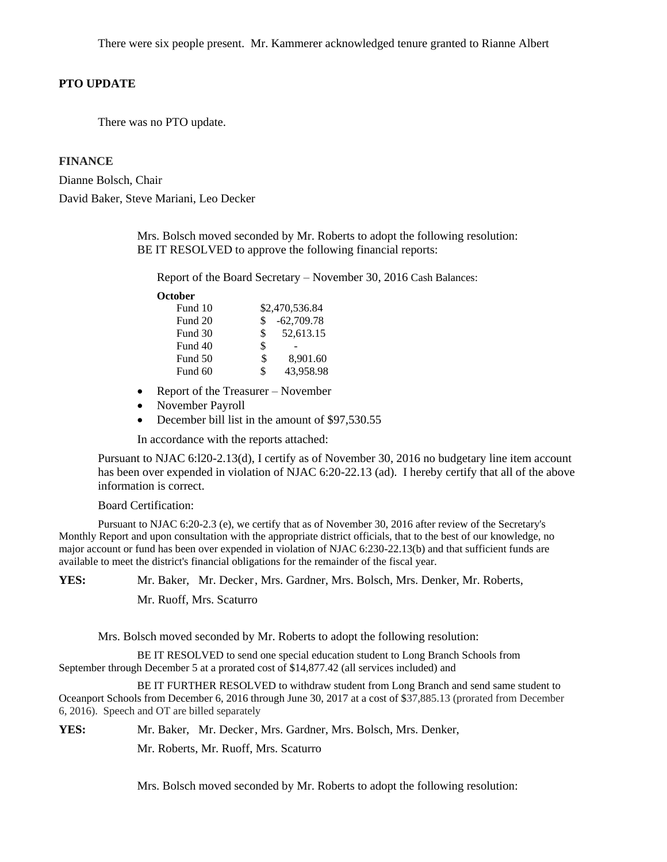There were six people present. Mr. Kammerer acknowledged tenure granted to Rianne Albert

# **PTO UPDATE**

There was no PTO update.

# **FINANCE**

Dianne Bolsch, Chair David Baker, Steve Mariani, Leo Decker

> Mrs. Bolsch moved seconded by Mr. Roberts to adopt the following resolution: BE IT RESOLVED to approve the following financial reports:

Report of the Board Secretary – November 30, 2016 Cash Balances:

**October**

| Fund 10 |    | \$2,470,536.84 |
|---------|----|----------------|
| Fund 20 | \$ | $-62,709.78$   |
| Fund 30 | \$ | 52,613.15      |
| Fund 40 | \$ |                |
| Fund 50 | \$ | 8,901.60       |
| Fund 60 | S  | 43,958.98      |

- Report of the Treasurer November
- November Payroll
- December bill list in the amount of \$97,530.55

In accordance with the reports attached:

Pursuant to NJAC 6:l20-2.13(d), I certify as of November 30, 2016 no budgetary line item account has been over expended in violation of NJAC 6:20-22.13 (ad). I hereby certify that all of the above information is correct.

#### Board Certification:

Pursuant to NJAC 6:20-2.3 (e), we certify that as of November 30, 2016 after review of the Secretary's Monthly Report and upon consultation with the appropriate district officials, that to the best of our knowledge, no major account or fund has been over expended in violation of NJAC 6:230-22.13(b) and that sufficient funds are available to meet the district's financial obligations for the remainder of the fiscal year.

**YES:** Mr. Baker, Mr. Decker, Mrs. Gardner, Mrs. Bolsch, Mrs. Denker, Mr. Roberts,

Mr. Ruoff, Mrs. Scaturro

Mrs. Bolsch moved seconded by Mr. Roberts to adopt the following resolution:

BE IT RESOLVED to send one special education student to Long Branch Schools from September through December 5 at a prorated cost of \$14,877.42 (all services included) and

BE IT FURTHER RESOLVED to withdraw student from Long Branch and send same student to Oceanport Schools from December 6, 2016 through June 30, 2017 at a cost of \$37,885.13 (prorated from December 6, 2016). Speech and OT are billed separately

**YES:** Mr. Baker, Mr. Decker, Mrs. Gardner, Mrs. Bolsch, Mrs. Denker,

Mr. Roberts, Mr. Ruoff, Mrs. Scaturro

Mrs. Bolsch moved seconded by Mr. Roberts to adopt the following resolution: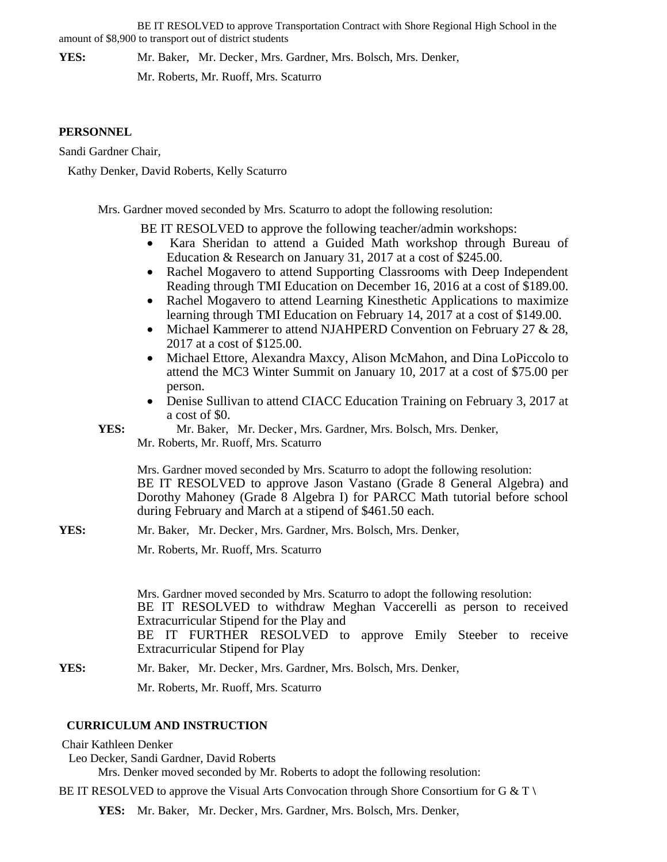BE IT RESOLVED to approve Transportation Contract with Shore Regional High School in the amount of \$8,900 to transport out of district students

**YES:** Mr. Baker, Mr. Decker, Mrs. Gardner, Mrs. Bolsch, Mrs. Denker,

Mr. Roberts, Mr. Ruoff, Mrs. Scaturro

## **PERSONNEL**

Sandi Gardner Chair,

Kathy Denker, David Roberts, Kelly Scaturro

Mrs. Gardner moved seconded by Mrs. Scaturro to adopt the following resolution:

BE IT RESOLVED to approve the following teacher/admin workshops:

- Kara Sheridan to attend a Guided Math workshop through Bureau of Education & Research on January 31, 2017 at a cost of \$245.00.
- Rachel Mogavero to attend Supporting Classrooms with Deep Independent Reading through TMI Education on December 16, 2016 at a cost of \$189.00.
- Rachel Mogavero to attend Learning Kinesthetic Applications to maximize learning through TMI Education on February 14, 2017 at a cost of \$149.00.
- Michael Kammerer to attend NJAHPERD Convention on February 27 & 28, 2017 at a cost of \$125.00.
- Michael Ettore, Alexandra Maxcy, Alison McMahon, and Dina LoPiccolo to attend the MC3 Winter Summit on January 10, 2017 at a cost of \$75.00 per person.
- Denise Sullivan to attend CIACC Education Training on February 3, 2017 at a cost of \$0.

**YES:** Mr. Baker, Mr. Decker, Mrs. Gardner, Mrs. Bolsch, Mrs. Denker, Mr. Roberts, Mr. Ruoff, Mrs. Scaturro

Mrs. Gardner moved seconded by Mrs. Scaturro to adopt the following resolution: BE IT RESOLVED to approve Jason Vastano (Grade 8 General Algebra) and Dorothy Mahoney (Grade 8 Algebra I) for PARCC Math tutorial before school during February and March at a stipend of \$461.50 each.

**YES:** Mr. Baker, Mr. Decker, Mrs. Gardner, Mrs. Bolsch, Mrs. Denker, Mr. Roberts, Mr. Ruoff, Mrs. Scaturro

> Mrs. Gardner moved seconded by Mrs. Scaturro to adopt the following resolution: BE IT RESOLVED to withdraw Meghan Vaccerelli as person to received Extracurricular Stipend for the Play and BE IT FURTHER RESOLVED to approve Emily Steeber to receive Extracurricular Stipend for Play

**YES:** Mr. Baker, Mr. Decker, Mrs. Gardner, Mrs. Bolsch, Mrs. Denker, Mr. Roberts, Mr. Ruoff, Mrs. Scaturro

# **CURRICULUM AND INSTRUCTION**

Chair Kathleen Denker

Leo Decker, Sandi Gardner, David Roberts

Mrs. Denker moved seconded by Mr. Roberts to adopt the following resolution:

BE IT RESOLVED to approve the Visual Arts Convocation through Shore Consortium for G & T **\**

**YES:** Mr. Baker, Mr. Decker, Mrs. Gardner, Mrs. Bolsch, Mrs. Denker,